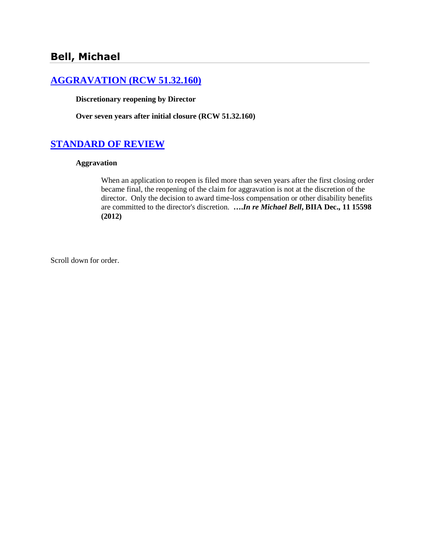# **[AGGRAVATION \(RCW 51.32.160\)](http://www.biia.wa.gov/SDSubjectIndex.html#AGGRAVATION)**

**Discretionary reopening by Director** 

**Over seven years after initial closure (RCW 51.32.160)**

# **[STANDARD OF REVIEW](http://www.biia.wa.gov/SDSubjectIndex.html#STANDARD_OF_REVIEW)**

### **Aggravation**

When an application to reopen is filed more than seven years after the first closing order became final, the reopening of the claim for aggravation is not at the discretion of the director. Only the decision to award time-loss compensation or other disability benefits are committed to the director's discretion. **….***In re Michael Bell***, BIIA Dec., 11 15598 (2012)**

Scroll down for order.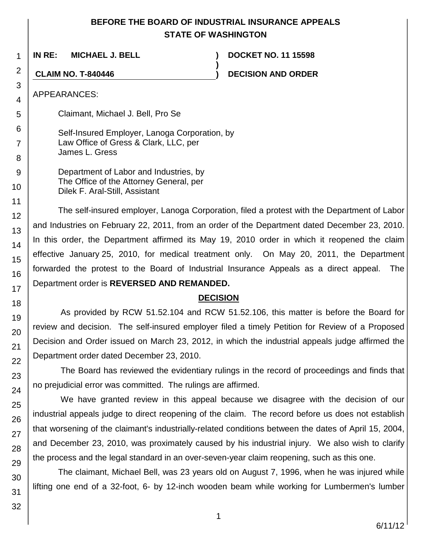## **BEFORE THE BOARD OF INDUSTRIAL INSURANCE APPEALS STATE OF WASHINGTON**

**)**

**IN RE: MICHAEL J. BELL ) DOCKET NO. 11 15598**

**CLAIM NO. T-840446 ) DECISION AND ORDER**

APPEARANCES:

Claimant, Michael J. Bell, Pro Se

Self-Insured Employer, Lanoga Corporation, by Law Office of Gress & Clark, LLC, per James L. Gress

Department of Labor and Industries, by The Office of the Attorney General, per Dilek F. Aral-Still, Assistant

The self-insured employer, Lanoga Corporation, filed a protest with the Department of Labor and Industries on February 22, 2011, from an order of the Department dated December 23, 2010. In this order, the Department affirmed its May 19, 2010 order in which it reopened the claim effective January 25, 2010, for medical treatment only. On May 20, 2011, the Department forwarded the protest to the Board of Industrial Insurance Appeals as a direct appeal. The Department order is **REVERSED AND REMANDED.**

## **DECISION**

As provided by RCW 51.52.104 and RCW 51.52.106, this matter is before the Board for review and decision. The self-insured employer filed a timely Petition for Review of a Proposed Decision and Order issued on March 23, 2012, in which the industrial appeals judge affirmed the Department order dated December 23, 2010.

The Board has reviewed the evidentiary rulings in the record of proceedings and finds that no prejudicial error was committed. The rulings are affirmed.

We have granted review in this appeal because we disagree with the decision of our industrial appeals judge to direct reopening of the claim. The record before us does not establish that worsening of the claimant's industrially-related conditions between the dates of April 15, 2004, and December 23, 2010, was proximately caused by his industrial injury. We also wish to clarify the process and the legal standard in an over-seven-year claim reopening, such as this one.

The claimant, Michael Bell, was 23 years old on August 7, 1996, when he was injured while lifting one end of a 32-foot, 6- by 12-inch wooden beam while working for Lumbermen's lumber

1

2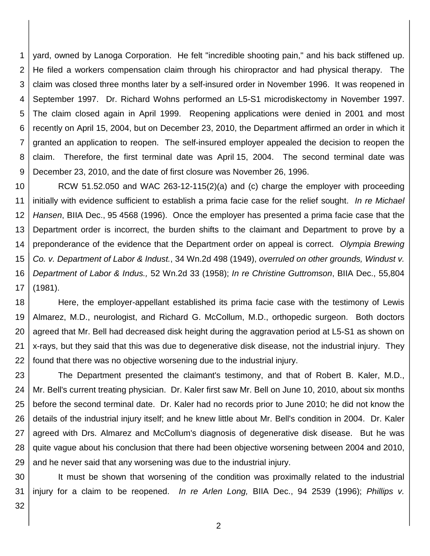1 2 3 4 5 6 7 8 9 yard, owned by Lanoga Corporation. He felt "incredible shooting pain," and his back stiffened up. He filed a workers compensation claim through his chiropractor and had physical therapy. The claim was closed three months later by a self-insured order in November 1996. It was reopened in September 1997. Dr. Richard Wohns performed an L5-S1 microdiskectomy in November 1997. The claim closed again in April 1999. Reopening applications were denied in 2001 and most recently on April 15, 2004, but on December 23, 2010, the Department affirmed an order in which it granted an application to reopen. The self-insured employer appealed the decision to reopen the claim. Therefore, the first terminal date was April 15, 2004. The second terminal date was December 23, 2010, and the date of first closure was November 26, 1996.

10 11 12 13 14 15 16 17 RCW 51.52.050 and WAC 263-12-115(2)(a) and (c) charge the employer with proceeding initially with evidence sufficient to establish a prima facie case for the relief sought. *In re Michael Hansen*, BIIA Dec., 95 4568 (1996). Once the employer has presented a prima facie case that the Department order is incorrect, the burden shifts to the claimant and Department to prove by a preponderance of the evidence that the Department order on appeal is correct. *Olympia Brewing Co. v. Department of Labor & Indust.*, 34 Wn.2d 498 (1949), *overruled on other grounds, Windust v. Department of Labor & Indus.,* 52 Wn.2d 33 (1958); *In re Christine Guttromson*, BIIA Dec., 55,804 (1981).

18 19 20 21 22 Here, the employer-appellant established its prima facie case with the testimony of Lewis Almarez, M.D., neurologist, and Richard G. McCollum, M.D., orthopedic surgeon. Both doctors agreed that Mr. Bell had decreased disk height during the aggravation period at L5-S1 as shown on x-rays, but they said that this was due to degenerative disk disease, not the industrial injury. They found that there was no objective worsening due to the industrial injury.

23 24 25 26 27 28 29 The Department presented the claimant's testimony, and that of Robert B. Kaler, M.D., Mr. Bell's current treating physician. Dr. Kaler first saw Mr. Bell on June 10, 2010, about six months before the second terminal date. Dr. Kaler had no records prior to June 2010; he did not know the details of the industrial injury itself; and he knew little about Mr. Bell's condition in 2004. Dr. Kaler agreed with Drs. Almarez and McCollum's diagnosis of degenerative disk disease. But he was quite vague about his conclusion that there had been objective worsening between 2004 and 2010, and he never said that any worsening was due to the industrial injury.

30 31 It must be shown that worsening of the condition was proximally related to the industrial injury for a claim to be reopened. *In re Arlen Long,* BIIA Dec., 94 2539 (1996); *Phillips v.* 

32

2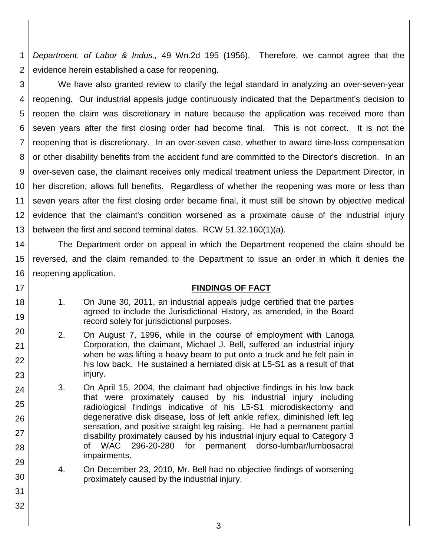1 2 *Department. of Labor & Indus.,* 49 Wn.2d 195 (1956). Therefore, we cannot agree that the evidence herein established a case for reopening.

3 4 5 6 7 8 9 10 11 12 13 We have also granted review to clarify the legal standard in analyzing an over-seven-year reopening. Our industrial appeals judge continuously indicated that the Department's decision to reopen the claim was discretionary in nature because the application was received more than seven years after the first closing order had become final. This is not correct. It is not the reopening that is discretionary. In an over-seven case, whether to award time-loss compensation or other disability benefits from the accident fund are committed to the Director's discretion. In an over-seven case, the claimant receives only medical treatment unless the Department Director, in her discretion, allows full benefits. Regardless of whether the reopening was more or less than seven years after the first closing order became final, it must still be shown by objective medical evidence that the claimant's condition worsened as a proximate cause of the industrial injury between the first and second terminal dates. RCW 51.32.160(1)(a).

14 15 16 The Department order on appeal in which the Department reopened the claim should be reversed, and the claim remanded to the Department to issue an order in which it denies the reopening application.

### **FINDINGS OF FACT**

1. On June 30, 2011, an industrial appeals judge certified that the parties agreed to include the Jurisdictional History, as amended, in the Board record solely for jurisdictional purposes.

17

18

19

20

21

22

23

24

25

26

27

28

29

30

31

32

- 2. On August 7, 1996, while in the course of employment with Lanoga Corporation, the claimant, Michael J. Bell, suffered an industrial injury when he was lifting a heavy beam to put onto a truck and he felt pain in his low back. He sustained a herniated disk at L5-S1 as a result of that injury.
- 3. On April 15, 2004, the claimant had objective findings in his low back that were proximately caused by his industrial injury including radiological findings indicative of his L5-S1 microdiskectomy and degenerative disk disease, loss of left ankle reflex, diminished left leg sensation, and positive straight leg raising. He had a permanent partial disability proximately caused by his industrial injury equal to Category 3 of WAC 296-20-280 for permanent dorso-lumbar/lumbosacral impairments.
- 4. On December 23, 2010, Mr. Bell had no objective findings of worsening proximately caused by the industrial injury.
	- 3